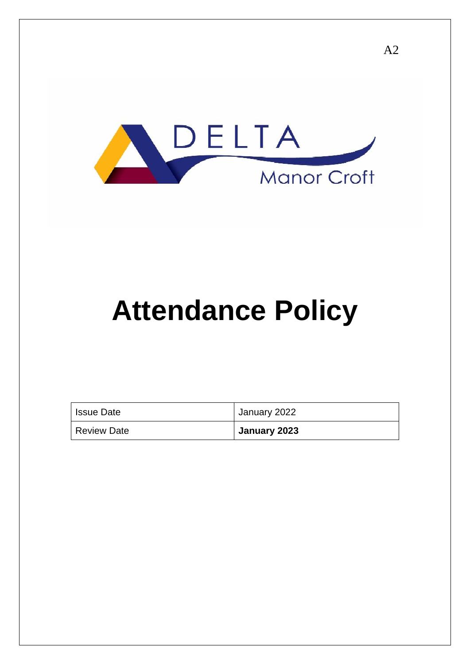

# **Attendance Policy**

| <sup>1</sup> Issue Date | January 2022 |
|-------------------------|--------------|
| Review Date             | January 2023 |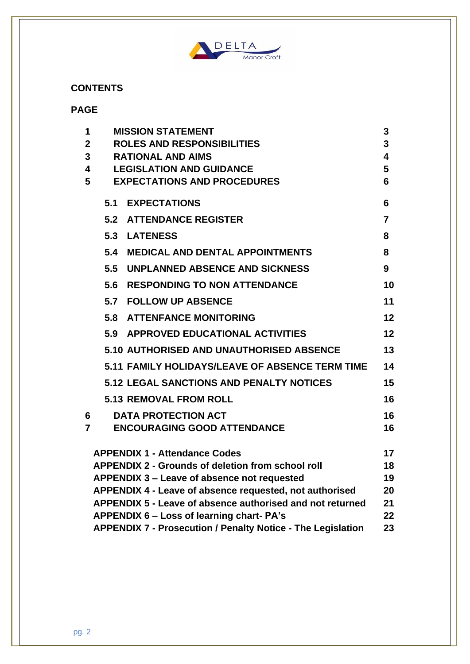

# **CONTENTS**

# **PAGE**

| 1              | <b>MISSION STATEMENT</b>                                   |                                                                    |                 |
|----------------|------------------------------------------------------------|--------------------------------------------------------------------|-----------------|
| $\mathbf{2}$   | <b>ROLES AND RESPONSIBILITIES</b>                          |                                                                    |                 |
| 3              | <b>RATIONAL AND AIMS</b>                                   |                                                                    |                 |
|                | $\overline{\mathbf{4}}$<br><b>LEGISLATION AND GUIDANCE</b> |                                                                    |                 |
| 5              |                                                            | <b>EXPECTATIONS AND PROCEDURES</b>                                 | 6               |
|                | 5.1                                                        | <b>EXPECTATIONS</b>                                                | 6               |
|                | 5.2                                                        | <b>ATTENDANCE REGISTER</b>                                         | $\overline{7}$  |
|                |                                                            | 5.3 LATENESS                                                       | 8               |
|                | 5.4                                                        | <b>MEDICAL AND DENTAL APPOINTMENTS</b>                             | 8               |
|                | 5.5                                                        | UNPLANNED ABSENCE AND SICKNESS                                     | 9               |
|                | 5.6                                                        | <b>RESPONDING TO NON ATTENDANCE</b>                                | 10              |
|                |                                                            | 5.7 FOLLOW UP ABSENCE                                              | 11              |
|                |                                                            | <b>5.8 ATTENFANCE MONITORING</b>                                   | 12 <sub>2</sub> |
|                |                                                            | 5.9 APPROVED EDUCATIONAL ACTIVITIES                                | 12              |
|                |                                                            | 5.10 AUTHORISED AND UNAUTHORISED ABSENCE                           | 13              |
|                |                                                            | 5.11 FAMILY HOLIDAYS/LEAVE OF ABSENCE TERM TIME                    | 14              |
|                |                                                            | <b>5.12 LEGAL SANCTIONS AND PENALTY NOTICES</b>                    | 15              |
|                |                                                            | <b>5.13 REMOVAL FROM ROLL</b>                                      | 16              |
| 6              |                                                            | <b>DATA PROTECTION ACT</b>                                         | 16              |
| $\overline{7}$ |                                                            | <b>ENCOURAGING GOOD ATTENDANCE</b>                                 | 16              |
|                |                                                            | <b>APPENDIX 1 - Attendance Codes</b>                               | 17              |
|                |                                                            | <b>APPENDIX 2 - Grounds of deletion from school roll</b>           | 18              |
|                |                                                            | <b>APPENDIX 3 – Leave of absence not requested</b>                 | 19              |
|                |                                                            | APPENDIX 4 - Leave of absence requested, not authorised            | 20              |
|                |                                                            | APPENDIX 5 - Leave of absence authorised and not returned          | 21              |
|                |                                                            | APPENDIX 6 – Loss of learning chart- PA's                          | 22              |
|                |                                                            | <b>APPENDIX 7 - Prosecution / Penalty Notice - The Legislation</b> | 23              |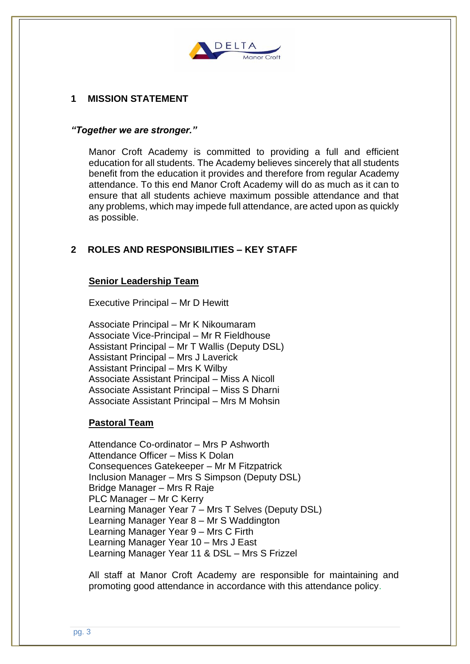

# **1 MISSION STATEMENT**

### *"Together we are stronger."*

Manor Croft Academy is committed to providing a full and efficient education for all students. The Academy believes sincerely that all students benefit from the education it provides and therefore from regular Academy attendance. To this end Manor Croft Academy will do as much as it can to ensure that all students achieve maximum possible attendance and that any problems, which may impede full attendance, are acted upon as quickly as possible.

# **2 ROLES AND RESPONSIBILITIES – KEY STAFF**

### **Senior Leadership Team**

Executive Principal – Mr D Hewitt

Associate Principal – Mr K Nikoumaram Associate Vice-Principal – Mr R Fieldhouse Assistant Principal – Mr T Wallis (Deputy DSL) Assistant Principal – Mrs J Laverick Assistant Principal – Mrs K Wilby Associate Assistant Principal – Miss A Nicoll Associate Assistant Principal – Miss S Dharni Associate Assistant Principal – Mrs M Mohsin

## **Pastoral Team**

Attendance Co-ordinator – Mrs P Ashworth Attendance Officer – Miss K Dolan Consequences Gatekeeper – Mr M Fitzpatrick Inclusion Manager – Mrs S Simpson (Deputy DSL) Bridge Manager – Mrs R Raje PLC Manager – Mr C Kerry Learning Manager Year 7 – Mrs T Selves (Deputy DSL) Learning Manager Year 8 – Mr S Waddington Learning Manager Year 9 – Mrs C Firth Learning Manager Year 10 – Mrs J East Learning Manager Year 11 & DSL – Mrs S Frizzel

All staff at Manor Croft Academy are responsible for maintaining and promoting good attendance in accordance with this attendance policy.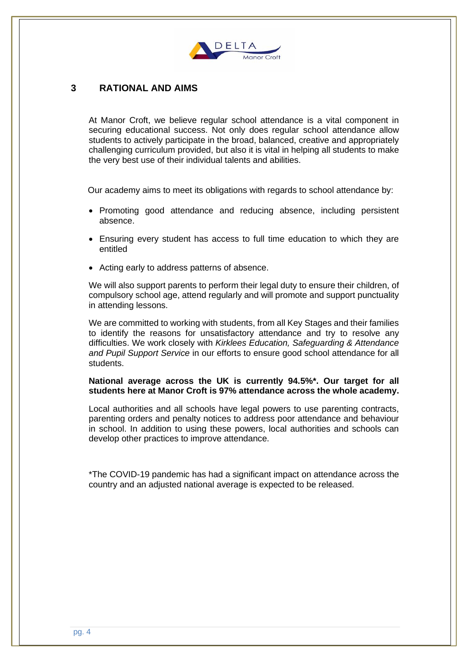

## **3 RATIONAL AND AIMS**

At Manor Croft, we believe regular school attendance is a vital component in securing educational success. Not only does regular school attendance allow students to actively participate in the broad, balanced, creative and appropriately challenging curriculum provided, but also it is vital in helping all students to make the very best use of their individual talents and abilities.

Our academy aims to meet its obligations with regards to school attendance by:

- Promoting good attendance and reducing absence, including persistent absence.
- Ensuring every student has access to full time education to which they are entitled
- Acting early to address patterns of absence.

We will also support parents to perform their legal duty to ensure their children, of compulsory school age, attend regularly and will promote and support punctuality in attending lessons.

We are committed to working with students, from all Key Stages and their families to identify the reasons for unsatisfactory attendance and try to resolve any difficulties. We work closely with *Kirklees Education, Safeguarding & Attendance and Pupil Support Service* in our efforts to ensure good school attendance for all students.

### **National average across the UK is currently 94.5%\*. Our target for all students here at Manor Croft is 97% attendance across the whole academy.**

Local authorities and all schools have legal powers to use parenting contracts, parenting orders and penalty notices to address poor attendance and behaviour in school. In addition to using these powers, local authorities and schools can develop other practices to improve attendance.

\*The COVID-19 pandemic has had a significant impact on attendance across the country and an adjusted national average is expected to be released.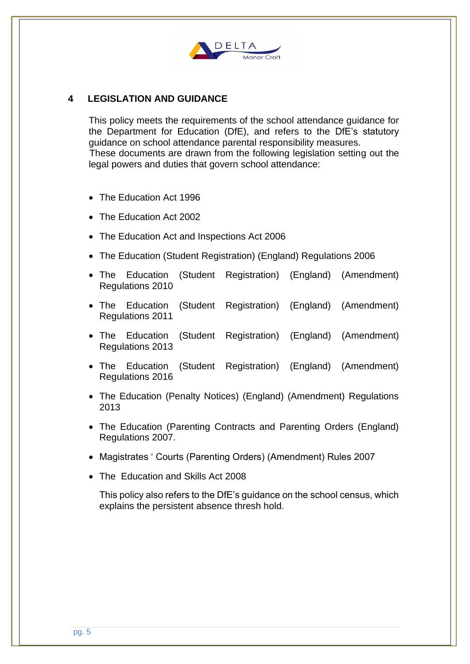

# **4 LEGISLATION AND GUIDANCE**

This policy meets the requirements of the school attendance guidance for the Department for Education (DfE), and refers to the DfE's statutory guidance on school attendance parental responsibility measures. These documents are drawn from the following legislation setting out the legal powers and duties that govern school attendance:

- The Education Act 1996
- The Education Act 2002
- The Education Act and Inspections Act 2006
- The Education (Student Registration) (England) Regulations 2006
- The Education (Student Registration) (England) (Amendment) Regulations 2010
- The Education (Student Registration) (England) (Amendment) Regulations 2011
- The Education (Student Registration) (England) (Amendment) Regulations 2013
- The Education (Student Registration) (England) (Amendment) Regulations 2016
- The Education (Penalty Notices) (England) (Amendment) Regulations 2013
- The Education (Parenting Contracts and Parenting Orders (England) Regulations 2007.
- Magistrates ' Courts (Parenting Orders) (Amendment) Rules 2007
- The Education and Skills Act 2008

This policy also refers to the DfE's guidance on the school census, which explains the persistent absence thresh hold.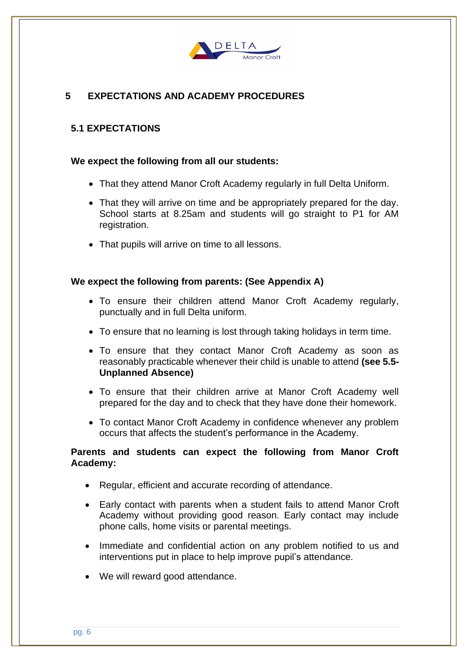

# **5 EXPECTATIONS AND ACADEMY PROCEDURES**

## **5.1 EXPECTATIONS**

### **We expect the following from all our students:**

- That they attend Manor Croft Academy regularly in full Delta Uniform.
- That they will arrive on time and be appropriately prepared for the day. School starts at 8.25am and students will go straight to P1 for AM registration.
- That pupils will arrive on time to all lessons.

### **We expect the following from parents: (See Appendix A)**

- To ensure their children attend Manor Croft Academy regularly, punctually and in full Delta uniform.
- To ensure that no learning is lost through taking holidays in term time.
- To ensure that they contact Manor Croft Academy as soon as reasonably practicable whenever their child is unable to attend **(see 5.5- Unplanned Absence)**
- To ensure that their children arrive at Manor Croft Academy well prepared for the day and to check that they have done their homework.
- To contact Manor Croft Academy in confidence whenever any problem occurs that affects the student's performance in the Academy.

### **Parents and students can expect the following from Manor Croft Academy:**

- Regular, efficient and accurate recording of attendance.
- Early contact with parents when a student fails to attend Manor Croft Academy without providing good reason. Early contact may include phone calls, home visits or parental meetings.
- Immediate and confidential action on any problem notified to us and interventions put in place to help improve pupil's attendance.
- We will reward good attendance.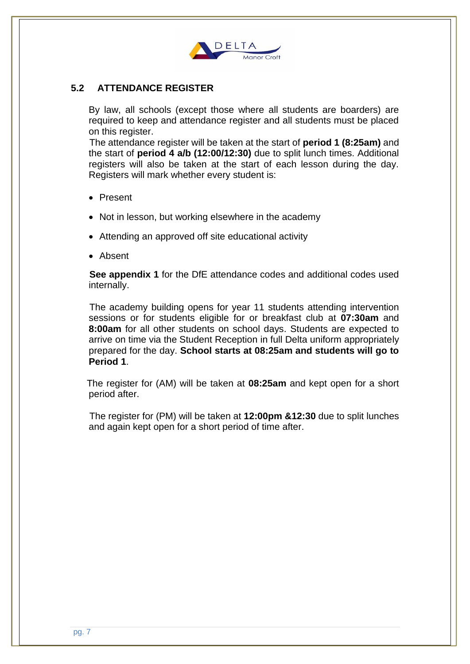

# **5.2 ATTENDANCE REGISTER**

By law, all schools (except those where all students are boarders) are required to keep and attendance register and all students must be placed on this register.

 The attendance register will be taken at the start of **period 1 (8:25am)** and the start of **period 4 a/b (12:00/12:30)** due to split lunch times. Additional registers will also be taken at the start of each lesson during the day. Registers will mark whether every student is:

- Present
- Not in lesson, but working elsewhere in the academy
- Attending an approved off site educational activity
- Absent

 **See appendix 1** for the DfE attendance codes and additional codes used internally.

 The academy building opens for year 11 students attending intervention sessions or for students eligible for or breakfast club at **07:30am** and **8:00am** for all other students on school days. Students are expected to arrive on time via the Student Reception in full Delta uniform appropriately prepared for the day. **School starts at 08:25am and students will go to Period 1**.

 The register for (AM) will be taken at **08:25am** and kept open for a short period after.

 The register for (PM) will be taken at **12:00pm &12:30** due to split lunches and again kept open for a short period of time after.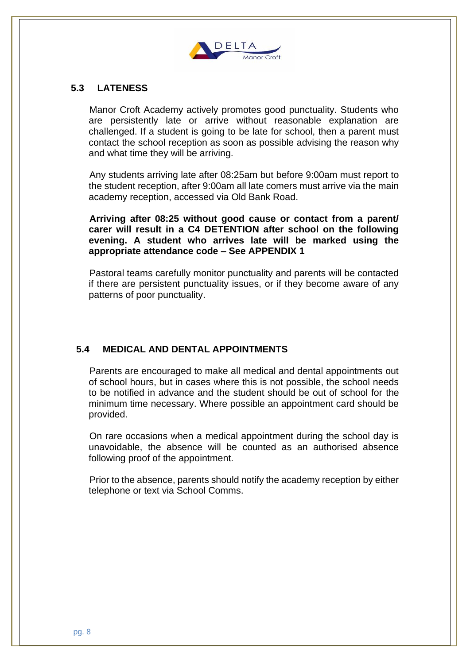

# **5.3 LATENESS**

 Manor Croft Academy actively promotes good punctuality. Students who are persistently late or arrive without reasonable explanation are challenged. If a student is going to be late for school, then a parent must contact the school reception as soon as possible advising the reason why and what time they will be arriving.

 Any students arriving late after 08:25am but before 9:00am must report to the student reception, after 9:00am all late comers must arrive via the main academy reception, accessed via Old Bank Road.

 **Arriving after 08:25 without good cause or contact from a parent/ carer will result in a C4 DETENTION after school on the following evening. A student who arrives late will be marked using the appropriate attendance code – See APPENDIX 1**

 Pastoral teams carefully monitor punctuality and parents will be contacted if there are persistent punctuality issues, or if they become aware of any patterns of poor punctuality.

# **5.4 MEDICAL AND DENTAL APPOINTMENTS**

 Parents are encouraged to make all medical and dental appointments out of school hours, but in cases where this is not possible, the school needs to be notified in advance and the student should be out of school for the minimum time necessary. Where possible an appointment card should be provided.

 On rare occasions when a medical appointment during the school day is unavoidable, the absence will be counted as an authorised absence following proof of the appointment.

 Prior to the absence, parents should notify the academy reception by either telephone or text via School Comms.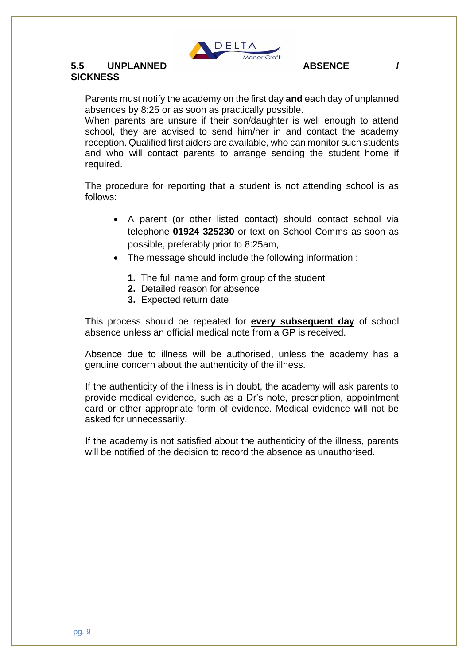

# **5.5 UNPLANNED ABSENCE / SICKNESS**

Parents must notify the academy on the first day **and** each day of unplanned absences by 8:25 or as soon as practically possible.

When parents are unsure if their son/daughter is well enough to attend school, they are advised to send him/her in and contact the academy reception. Qualified first aiders are available, who can monitor such students and who will contact parents to arrange sending the student home if required.

The procedure for reporting that a student is not attending school is as follows:

- A parent (or other listed contact) should contact school via telephone **01924 325230** or text on School Comms as soon as possible, preferably prior to 8:25am,
- The message should include the following information :
	- **1.** The full name and form group of the student
	- **2.** Detailed reason for absence
	- **3.** Expected return date

This process should be repeated for **every subsequent day** of school absence unless an official medical note from a GP is received.

Absence due to illness will be authorised, unless the academy has a genuine concern about the authenticity of the illness.

If the authenticity of the illness is in doubt, the academy will ask parents to provide medical evidence, such as a Dr's note, prescription, appointment card or other appropriate form of evidence. Medical evidence will not be asked for unnecessarily.

If the academy is not satisfied about the authenticity of the illness, parents will be notified of the decision to record the absence as unauthorised.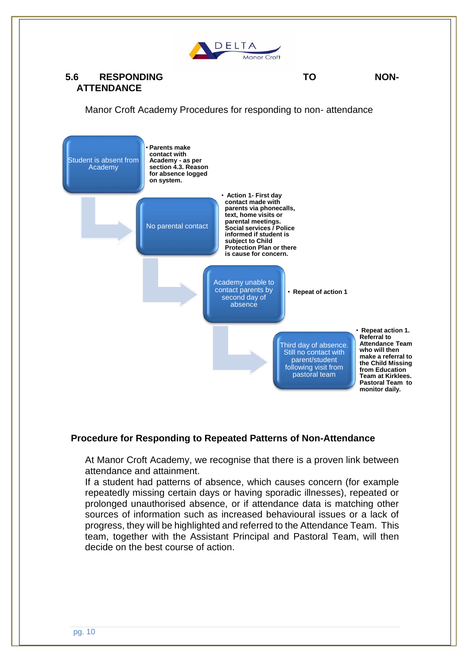

# **5.6 RESPONDING TO NON-ATTENDANCE**

Manor Croft Academy Procedures for responding to non- attendance



## **Procedure for Responding to Repeated Patterns of Non-Attendance**

At Manor Croft Academy, we recognise that there is a proven link between attendance and attainment.

If a student had patterns of absence, which causes concern (for example repeatedly missing certain days or having sporadic illnesses), repeated or prolonged unauthorised absence, or if attendance data is matching other sources of information such as increased behavioural issues or a lack of progress, they will be highlighted and referred to the Attendance Team. This team, together with the Assistant Principal and Pastoral Team, will then decide on the best course of action.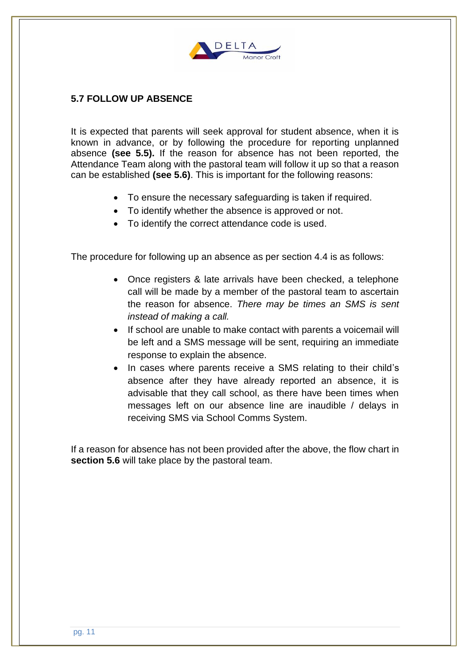

# **5.7 FOLLOW UP ABSENCE**

It is expected that parents will seek approval for student absence, when it is known in advance, or by following the procedure for reporting unplanned absence **(see 5.5).** If the reason for absence has not been reported, the Attendance Team along with the pastoral team will follow it up so that a reason can be established **(see 5.6)**. This is important for the following reasons:

- To ensure the necessary safeguarding is taken if required.
- To identify whether the absence is approved or not.
- To identify the correct attendance code is used.

The procedure for following up an absence as per section 4.4 is as follows:

- Once registers & late arrivals have been checked, a telephone call will be made by a member of the pastoral team to ascertain the reason for absence. *There may be times an SMS is sent instead of making a call.*
- If school are unable to make contact with parents a voicemail will be left and a SMS message will be sent, requiring an immediate response to explain the absence.
- In cases where parents receive a SMS relating to their child's absence after they have already reported an absence, it is advisable that they call school, as there have been times when messages left on our absence line are inaudible / delays in receiving SMS via School Comms System.

If a reason for absence has not been provided after the above, the flow chart in **section 5.6** will take place by the pastoral team.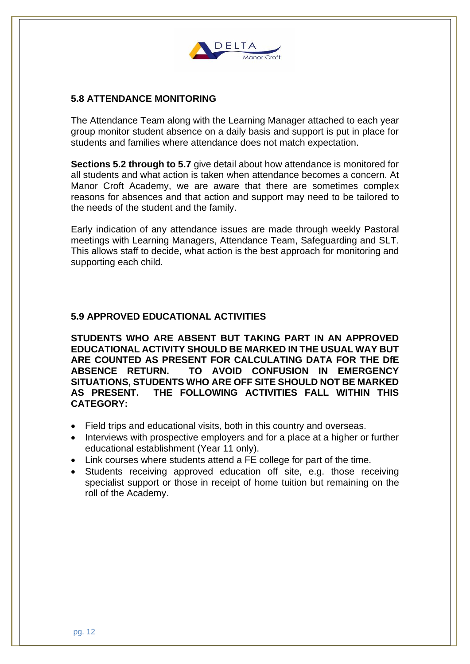

# **5.8 ATTENDANCE MONITORING**

The Attendance Team along with the Learning Manager attached to each year group monitor student absence on a daily basis and support is put in place for students and families where attendance does not match expectation.

**Sections 5.2 through to 5.7** give detail about how attendance is monitored for all students and what action is taken when attendance becomes a concern. At Manor Croft Academy, we are aware that there are sometimes complex reasons for absences and that action and support may need to be tailored to the needs of the student and the family.

Early indication of any attendance issues are made through weekly Pastoral meetings with Learning Managers, Attendance Team, Safeguarding and SLT. This allows staff to decide, what action is the best approach for monitoring and supporting each child.

## **5.9 APPROVED EDUCATIONAL ACTIVITIES**

**STUDENTS WHO ARE ABSENT BUT TAKING PART IN AN APPROVED EDUCATIONAL ACTIVITY SHOULD BE MARKED IN THE USUAL WAY BUT ARE COUNTED AS PRESENT FOR CALCULATING DATA FOR THE DfE ABSENCE RETURN. TO AVOID CONFUSION IN EMERGENCY SITUATIONS, STUDENTS WHO ARE OFF SITE SHOULD NOT BE MARKED AS PRESENT. THE FOLLOWING ACTIVITIES FALL WITHIN THIS CATEGORY:**

- Field trips and educational visits, both in this country and overseas.
- Interviews with prospective employers and for a place at a higher or further educational establishment (Year 11 only).
- Link courses where students attend a FE college for part of the time.
- Students receiving approved education off site, e.g. those receiving specialist support or those in receipt of home tuition but remaining on the roll of the Academy.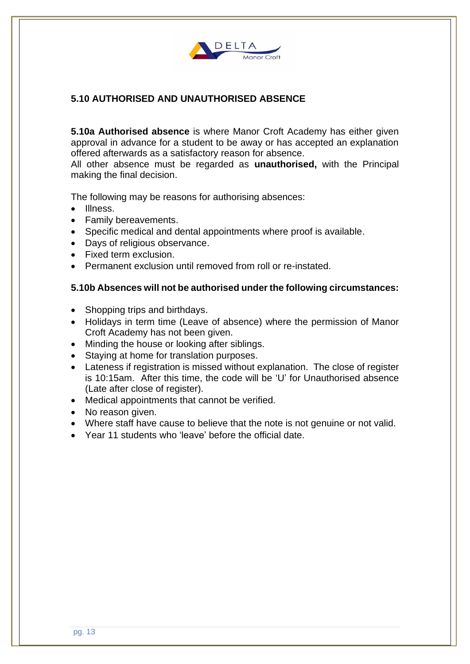

# **5.10 AUTHORISED AND UNAUTHORISED ABSENCE**

**5.10a Authorised absence** is where Manor Croft Academy has either given approval in advance for a student to be away or has accepted an explanation offered afterwards as a satisfactory reason for absence.

All other absence must be regarded as **unauthorised,** with the Principal making the final decision.

The following may be reasons for authorising absences:

- Illness.
- Family bereavements.
- Specific medical and dental appointments where proof is available.
- Days of religious observance.
- Fixed term exclusion.
- Permanent exclusion until removed from roll or re-instated.

### **5.10b Absences will not be authorised under the following circumstances:**

- Shopping trips and birthdays.
- Holidays in term time (Leave of absence) where the permission of Manor Croft Academy has not been given.
- Minding the house or looking after siblings.
- Staying at home for translation purposes.
- Lateness if registration is missed without explanation. The close of register is 10:15am. After this time, the code will be 'U' for Unauthorised absence (Late after close of register).
- Medical appointments that cannot be verified.
- No reason given.
- Where staff have cause to believe that the note is not genuine or not valid.
- Year 11 students who 'leave' before the official date.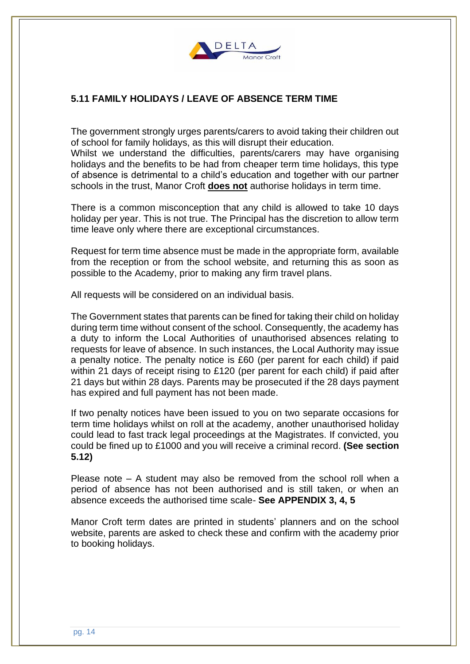

# **5.11 FAMILY HOLIDAYS / LEAVE OF ABSENCE TERM TIME**

The government strongly urges parents/carers to avoid taking their children out of school for family holidays, as this will disrupt their education.

Whilst we understand the difficulties, parents/carers may have organising holidays and the benefits to be had from cheaper term time holidays, this type of absence is detrimental to a child's education and together with our partner schools in the trust, Manor Croft **does not** authorise holidays in term time.

There is a common misconception that any child is allowed to take 10 days holiday per year. This is not true. The Principal has the discretion to allow term time leave only where there are exceptional circumstances.

Request for term time absence must be made in the appropriate form, available from the reception or from the school website, and returning this as soon as possible to the Academy, prior to making any firm travel plans.

All requests will be considered on an individual basis.

The Government states that parents can be fined for taking their child on holiday during term time without consent of the school. Consequently, the academy has a duty to inform the Local Authorities of unauthorised absences relating to requests for leave of absence. In such instances, the Local Authority may issue a penalty notice. The penalty notice is £60 (per parent for each child) if paid within 21 days of receipt rising to £120 (per parent for each child) if paid after 21 days but within 28 days. Parents may be prosecuted if the 28 days payment has expired and full payment has not been made.

If two penalty notices have been issued to you on two separate occasions for term time holidays whilst on roll at the academy, another unauthorised holiday could lead to fast track legal proceedings at the Magistrates. If convicted, you could be fined up to £1000 and you will receive a criminal record. **(See section 5.12)**

Please note – A student may also be removed from the school roll when a period of absence has not been authorised and is still taken, or when an absence exceeds the authorised time scale- **See APPENDIX 3, 4, 5**

Manor Croft term dates are printed in students' planners and on the school website, parents are asked to check these and confirm with the academy prior to booking holidays.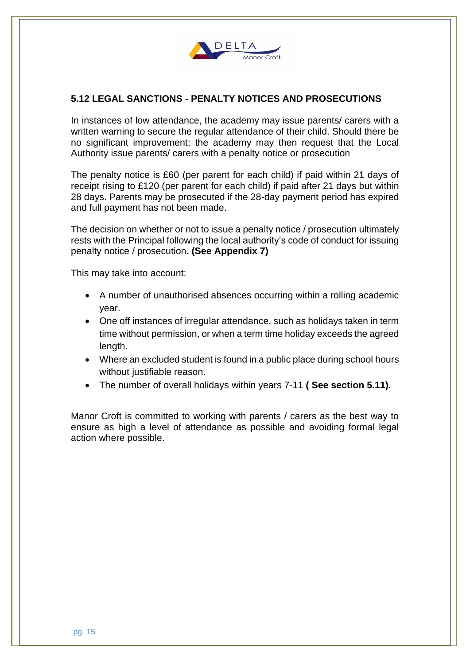

# **5.12 LEGAL SANCTIONS - PENALTY NOTICES AND PROSECUTIONS**

In instances of low attendance, the academy may issue parents/ carers with a written warning to secure the regular attendance of their child. Should there be no significant improvement; the academy may then request that the Local Authority issue parents/ carers with a penalty notice or prosecution

The penalty notice is £60 (per parent for each child) if paid within 21 days of receipt rising to £120 (per parent for each child) if paid after 21 days but within 28 days. Parents may be prosecuted if the 28-day payment period has expired and full payment has not been made.

The decision on whether or not to issue a penalty notice / prosecution ultimately rests with the Principal following the local authority's code of conduct for issuing penalty notice / prosecution**. (See Appendix 7)**

This may take into account:

- A number of unauthorised absences occurring within a rolling academic year.
- One off instances of irregular attendance, such as holidays taken in term time without permission, or when a term time holiday exceeds the agreed length.
- Where an excluded student is found in a public place during school hours without justifiable reason.
- The number of overall holidays within years 7-11 **( See section 5.11).**

Manor Croft is committed to working with parents / carers as the best way to ensure as high a level of attendance as possible and avoiding formal legal action where possible.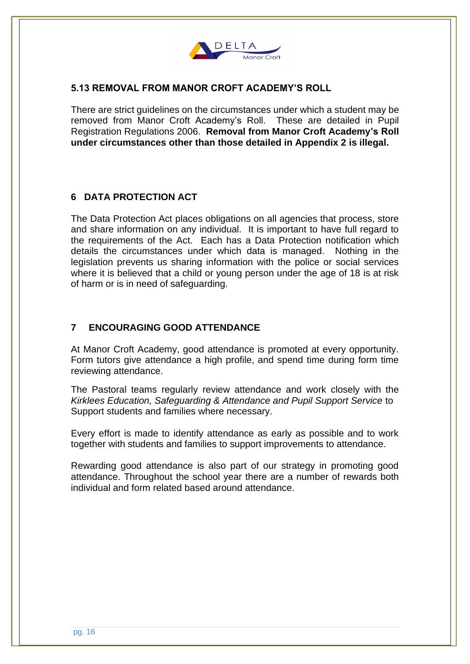

# **5.13 REMOVAL FROM MANOR CROFT ACADEMY'S ROLL**

There are strict guidelines on the circumstances under which a student may be removed from Manor Croft Academy's Roll. These are detailed in Pupil Registration Regulations 2006. **Removal from Manor Croft Academy's Roll under circumstances other than those detailed in Appendix 2 is illegal.**

## **6 DATA PROTECTION ACT**

The Data Protection Act places obligations on all agencies that process, store and share information on any individual. It is important to have full regard to the requirements of the Act. Each has a Data Protection notification which details the circumstances under which data is managed. Nothing in the legislation prevents us sharing information with the police or social services where it is believed that a child or young person under the age of 18 is at risk of harm or is in need of safeguarding.

## **7 ENCOURAGING GOOD ATTENDANCE**

At Manor Croft Academy, good attendance is promoted at every opportunity. Form tutors give attendance a high profile, and spend time during form time reviewing attendance.

The Pastoral teams regularly review attendance and work closely with the *Kirklees Education, Safeguarding & Attendance and Pupil Support Service* to Support students and families where necessary.

Every effort is made to identify attendance as early as possible and to work together with students and families to support improvements to attendance.

Rewarding good attendance is also part of our strategy in promoting good attendance. Throughout the school year there are a number of rewards both individual and form related based around attendance.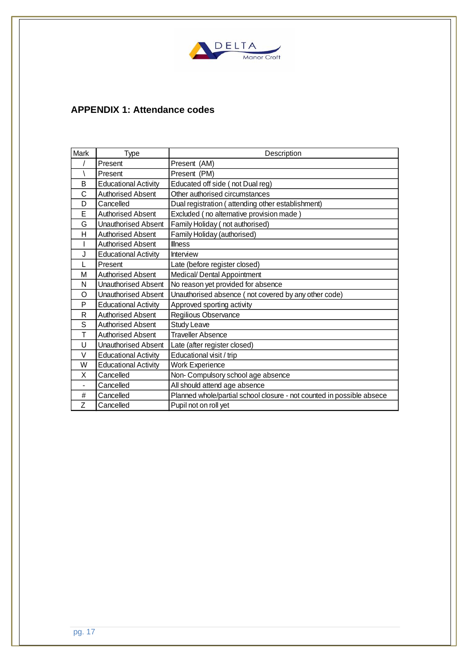

# **APPENDIX 1: Attendance codes**

| Mark           | Type                        | Description                                                           |  |
|----------------|-----------------------------|-----------------------------------------------------------------------|--|
|                | Present                     | Present (AM)                                                          |  |
|                | Present                     | Present (PM)                                                          |  |
| B              | <b>Educational Activity</b> | Educated off side (not Dual reg)                                      |  |
| C              | <b>Authorised Absent</b>    | Other authorised circumstances                                        |  |
| D              | Cancelled                   | Dual registration (attending other establishment)                     |  |
| E              | <b>Authorised Absent</b>    | Excluded (no alternative provision made)                              |  |
| G              | Unauthorised Absent         | Family Holiday (not authorised)                                       |  |
| H              | <b>Authorised Absent</b>    | Family Holiday (authorised)                                           |  |
|                | <b>Authorised Absent</b>    | <b>Illness</b>                                                        |  |
| J              | <b>Educational Activity</b> | <b>Interview</b>                                                      |  |
|                | Present                     | Late (before register closed)                                         |  |
| М              | <b>Authorised Absent</b>    | Medical/ Dental Appointment                                           |  |
| N              | <b>Unauthorised Absent</b>  | No reason yet provided for absence                                    |  |
| O              | <b>Unauthorised Absent</b>  | Unauthorised absence (not covered by any other code)                  |  |
| P              | <b>Educational Activity</b> | Approved sporting activity                                            |  |
| R              | <b>Authorised Absent</b>    | Regilious Observance                                                  |  |
| S              | <b>Authorised Absent</b>    | <b>Study Leave</b>                                                    |  |
| т              | <b>Authorised Absent</b>    | <b>Traveller Absence</b>                                              |  |
| U              | Unauthorised Absent         | Late (after register closed)                                          |  |
| $\vee$         | <b>Educational Activity</b> | Educational visit / trip                                              |  |
| W              | <b>Educational Activity</b> | <b>Work Experience</b>                                                |  |
| X              | Cancelled                   | Non- Compulsory school age absence                                    |  |
| $\blacksquare$ | Cancelled                   | All should attend age absence                                         |  |
| #              | Cancelled                   | Planned whole/partial school closure - not counted in possible absece |  |
| Z              | Cancelled                   | Pupil not on roll yet                                                 |  |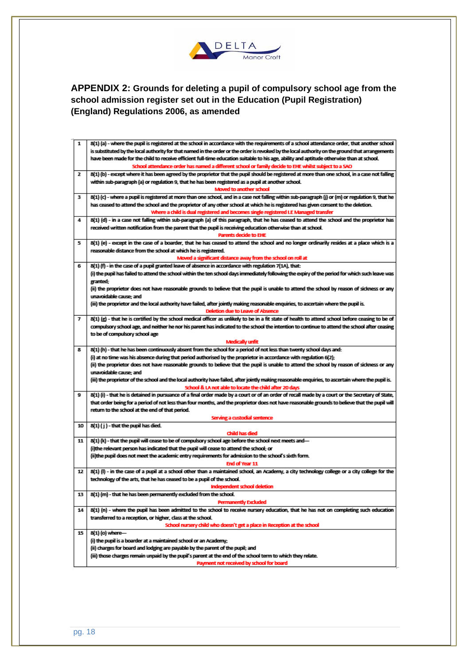

**APPENDIX 2: Grounds for deleting a pupil of compulsory school age from the school admission register set out in the Education (Pupil Registration) (England) Regulations 2006, as amended**

| 1  | 8(1) (a) - where the pupil is registered at the school in accordance with the requirements of a school attendance order, that another school                                                               |  |  |
|----|------------------------------------------------------------------------------------------------------------------------------------------------------------------------------------------------------------|--|--|
|    | is substituted by the local authority for that named in the order or the order is revoked by the local authority on the ground that arrangements                                                           |  |  |
|    | have been made for the child to receive efficient full-time education suitable to his age, ability and aptitude otherwise than at school.                                                                  |  |  |
|    | School attendance order has named a different school or family decide to EHE whilst subject to a SAO                                                                                                       |  |  |
| 2  | 8(1) (b) - except where it has been agreed by the proprietor that the pupil should be registered at more than one school, in a case not falling                                                            |  |  |
|    | within sub-paragraph (a) or regulation 9, that he has been registered as a pupil at another school.                                                                                                        |  |  |
|    | Moved to another school                                                                                                                                                                                    |  |  |
| з  | 8(1) (c) - where a pupil is registered at more than one school, and in a case not falling within sub-paragraph (i) or (m) or regulation 9, that he                                                         |  |  |
|    | has ceased to attend the school and the proprietor of any other school at which he is registered has given consent to the deletion.                                                                        |  |  |
|    | Where a child is dual registered and becomes single registered I.E Managed transfer                                                                                                                        |  |  |
| 4  | 8(1) (d) - in a case not falling within sub-paragraph (a) of this paragraph, that he has ceased to attend the school and the proprietor has                                                                |  |  |
|    | received written notification from the parent that the pupil is receiving education otherwise than at school.<br><b>Parents decide to EHE</b>                                                              |  |  |
| 5  | 8(1) (e) - except in the case of a boarder, that he has ceased to attend the school and no longer ordinarily resides at a place which is a                                                                 |  |  |
|    | reasonable distance from the school at which he is registered.                                                                                                                                             |  |  |
|    | Moved a significant distance away from the school on roll at                                                                                                                                               |  |  |
| 6  | 8(1) (f) - in the case of a pupil granted leave of absence in accordance with regulation 7(1A), that:                                                                                                      |  |  |
|    | (i) the pupil has failed to attend the school within the ten school days immediately following the expiry of the period for which such leave was                                                           |  |  |
|    | granted;                                                                                                                                                                                                   |  |  |
|    | (ii) the proprietor does not have reasonable grounds to believe that the pupil is unable to attend the school by reason of sickness or any                                                                 |  |  |
|    | unavoidable cause; and                                                                                                                                                                                     |  |  |
|    | (iii) the proprietor and the local authority have failed, after jointly making reasonable enquiries, to ascertain where the pupil is.                                                                      |  |  |
|    | <b>Deletion due to Leave of Absence</b>                                                                                                                                                                    |  |  |
| 7  | 8(1) (g) - that he is certified by the school medical officer as unlikely to be in a fit state of health to attend school before ceasing to be of                                                          |  |  |
|    | compulsory school age, and neither he nor his parent has indicated to the school the intention to continue to attend the school after ceasing                                                              |  |  |
|    | to be of compulsory school age                                                                                                                                                                             |  |  |
|    | Medically unfit                                                                                                                                                                                            |  |  |
| 8  | 8(1) (h) - that he has been continuously absent from the school for a period of not less than twenty school days and:                                                                                      |  |  |
|    | (i) at no time was his absence during that period authorised by the proprietor in accordance with regulation 6(2);                                                                                         |  |  |
|    | (ii) the proprietor does not have reasonable grounds to believe that the pupil is unable to attend the school by reason of sideness or any                                                                 |  |  |
|    | unavoidable cause; and                                                                                                                                                                                     |  |  |
|    | (iii) the proprietor of the school and the local authority have failed, after jointly making reasonable enquiries, to ascertain where the pupil is.                                                        |  |  |
| 9  | School & LA not able to locate the child after 20 days<br>8(1) (i) - that he is detained in pursuance of a final order made by a court or of an order of recall made by a court or the Secretary of State, |  |  |
|    | that order being for a period of not less than four months, and the proprietor does not have reasonable grounds to believe that the pupil will                                                             |  |  |
|    | return to the school at the end of that period.                                                                                                                                                            |  |  |
|    | Serving a custodial sentence                                                                                                                                                                               |  |  |
| 10 | 8(1) (j) - that the pupil has died.                                                                                                                                                                        |  |  |
|    | Child has died                                                                                                                                                                                             |  |  |
| 11 | 8(1) (k) - that the pupil will cease to be of compulsory school age before the school next meets and—                                                                                                      |  |  |
|    | (i)the relevant person has indicated that the pupil will cease to attend the school; or                                                                                                                    |  |  |
|    | (ii)the pupil does not meet the academic entry requirements for admission to the school's sixth form.                                                                                                      |  |  |
|    | End of Year 11                                                                                                                                                                                             |  |  |
| 12 | 8(1) (I) - in the case of a pupil at a school other than a maintained school, an Academy, a city technology college or a city college for the                                                              |  |  |
|    | technology of the arts, that he has ceased to be a pupil of the school.                                                                                                                                    |  |  |
|    | Independent school deletion                                                                                                                                                                                |  |  |
| 13 | 8(1) (m) - that he has been permanently excluded from the school.                                                                                                                                          |  |  |
|    | <b>Permanently Excluded</b>                                                                                                                                                                                |  |  |
| 14 | 8(1) (n) - where the pupil has been admitted to the school to receive nursery education, that he has not on completing such education                                                                      |  |  |
|    | transferred to a reception, or higher, class at the school.                                                                                                                                                |  |  |
|    | School nursery child who doesn't get a place in Reception at the school                                                                                                                                    |  |  |
| 15 | 8(1) (o) where-                                                                                                                                                                                            |  |  |
|    | (i) the pupil is a boarder at a maintained school or an Academy;                                                                                                                                           |  |  |
|    | (ii) charges for board and lodging are payable by the parent of the pupil; and<br>(iii) those charges remain unpaid by the pupil's parent at the end of the school term to which they relate.              |  |  |
|    | Payment not received by school for board                                                                                                                                                                   |  |  |
|    |                                                                                                                                                                                                            |  |  |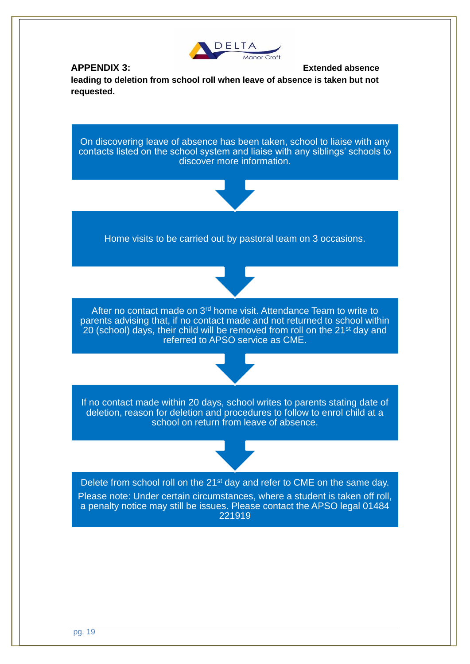

### **APPENDIX 3: Extended absence**

**leading to deletion from school roll when leave of absence is taken but not requested.** 

On discovering leave of absence has been taken, school to liaise with any contacts listed on the school system and liaise with any siblings' schools to discover more information.



Home visits to be carried out by pastoral team on 3 occasions.



After no contact made on 3rd home visit. Attendance Team to write to parents advising that, if no contact made and not returned to school within 20 (school) days, their child will be removed from roll on the 21<sup>st</sup> day and referred to APSO service as CME.



If no contact made within 20 days, school writes to parents stating date of deletion, reason for deletion and procedures to follow to enrol child at a school on return from leave of absence.



Delete from school roll on the 21<sup>st</sup> day and refer to CME on the same day. Please note: Under certain circumstances, where a student is taken off roll, a penalty notice may still be issues. Please contact the APSO legal 01484 221919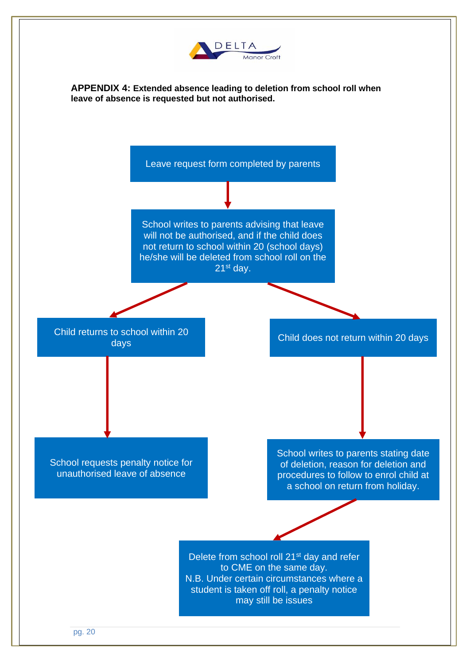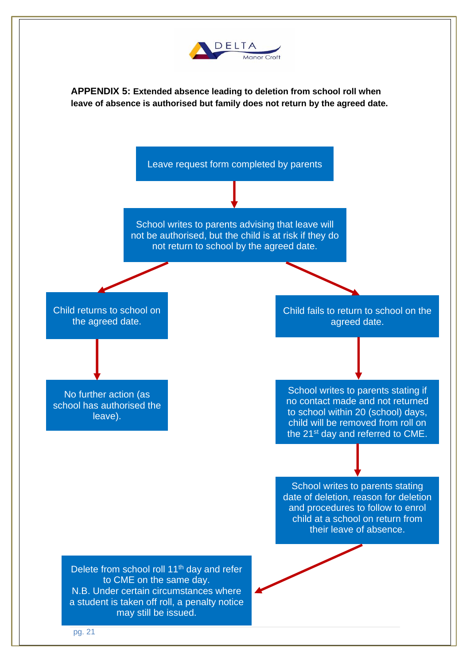

**APPENDIX 5: Extended absence leading to deletion from school roll when leave of absence is authorised but family does not return by the agreed date.** 

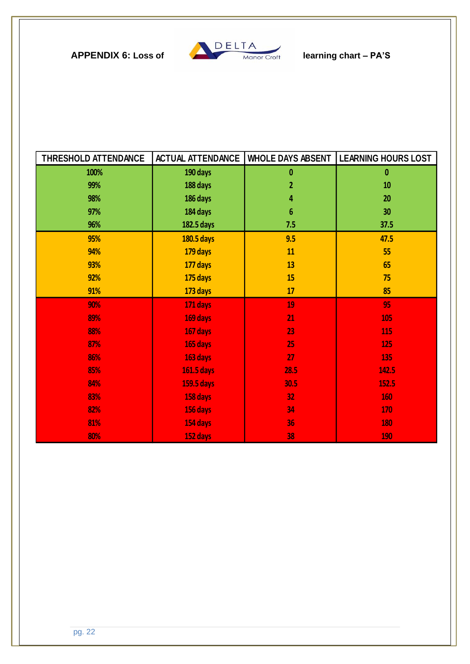

| THRESHOLD ATTENDANCE | <b>ACTUAL ATTENDANCE</b> | <b>WHOLE DAYS ABSENT</b> | <b>LEARNING HOURS LOST</b> |
|----------------------|--------------------------|--------------------------|----------------------------|
| 100%                 | 190 days                 | $\mathbf{0}$             | 0                          |
| 99%                  | 188 days                 | 2                        | 10                         |
| 98%                  | 186 days                 | 4                        | 20                         |
| 97%                  | 184 days                 | $6\phantom{1}$           | 30 <sub>2</sub>            |
| 96%                  | 182.5 days               | 7.5                      | 37.5                       |
| 95%                  | 180.5 days               | 9.5                      | 47.5                       |
| 94%                  | 179 days                 | 11                       | 55                         |
| 93%                  | 177 days                 | 13                       | 65                         |
| 92%                  | 175 days                 | 15                       | 75                         |
| 91%                  | 173 days                 | 17                       | 85                         |
| 90%                  | 171 days                 | 19                       | 95                         |
| 89%                  | 169 days                 | 21                       | 105                        |
| 88%                  | 167 days                 | 23                       | 115                        |
| 87%                  | 165 days                 | 25                       | <b>125</b>                 |
| 86%                  | 163 days                 | 27                       | 135                        |
| 85%                  | <b>161.5 days</b>        | 28.5                     | 142.5                      |
| 84%                  | <b>159.5 days</b>        | 30.5                     | 152.5                      |
| 83%                  | 158 days                 | 32 <sub>2</sub>          | 160                        |
| 82%                  | 156 days                 | 34                       | 170                        |
| 81%                  | 154 days                 | 36                       | <b>180</b>                 |
| 80%                  | 152 days                 | 38                       | 190                        |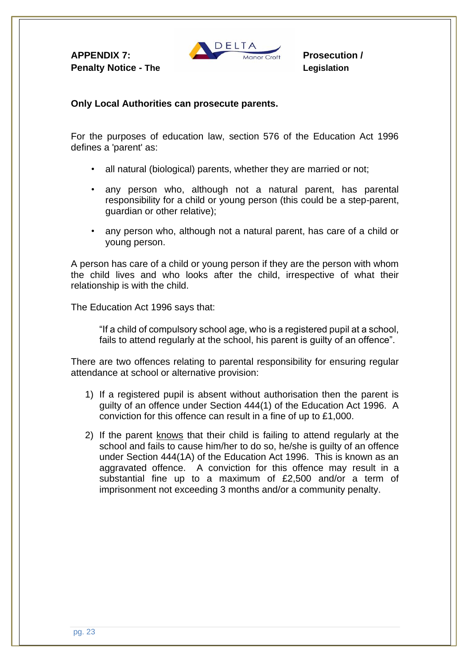**Penalty Notice - The Legislation Contract Contract Contract Contract Contract Contract Contract Contract Contract Contract Contract Contract Contract Contract Contract Contract Contract Contract Contract Contract Contract** 



### **Only Local Authorities can prosecute parents.**

For the purposes of education law, section 576 of the Education Act 1996 defines a 'parent' as:

- all natural (biological) parents, whether they are married or not;
- any person who, although not a natural parent, has parental responsibility for a child or young person (this could be a step-parent, guardian or other relative);
- any person who, although not a natural parent, has care of a child or young person.

A person has care of a child or young person if they are the person with whom the child lives and who looks after the child, irrespective of what their relationship is with the child.

The Education Act 1996 says that:

"If a child of compulsory school age, who is a registered pupil at a school, fails to attend regularly at the school, his parent is guilty of an offence".

There are two offences relating to parental responsibility for ensuring regular attendance at school or alternative provision:

- 1) If a registered pupil is absent without authorisation then the parent is guilty of an offence under Section 444(1) of the Education Act 1996. A conviction for this offence can result in a fine of up to £1,000.
- 2) If the parent knows that their child is failing to attend regularly at the school and fails to cause him/her to do so, he/she is guilty of an offence under Section 444(1A) of the Education Act 1996. This is known as an aggravated offence. A conviction for this offence may result in a substantial fine up to a maximum of £2,500 and/or a term of imprisonment not exceeding 3 months and/or a community penalty.